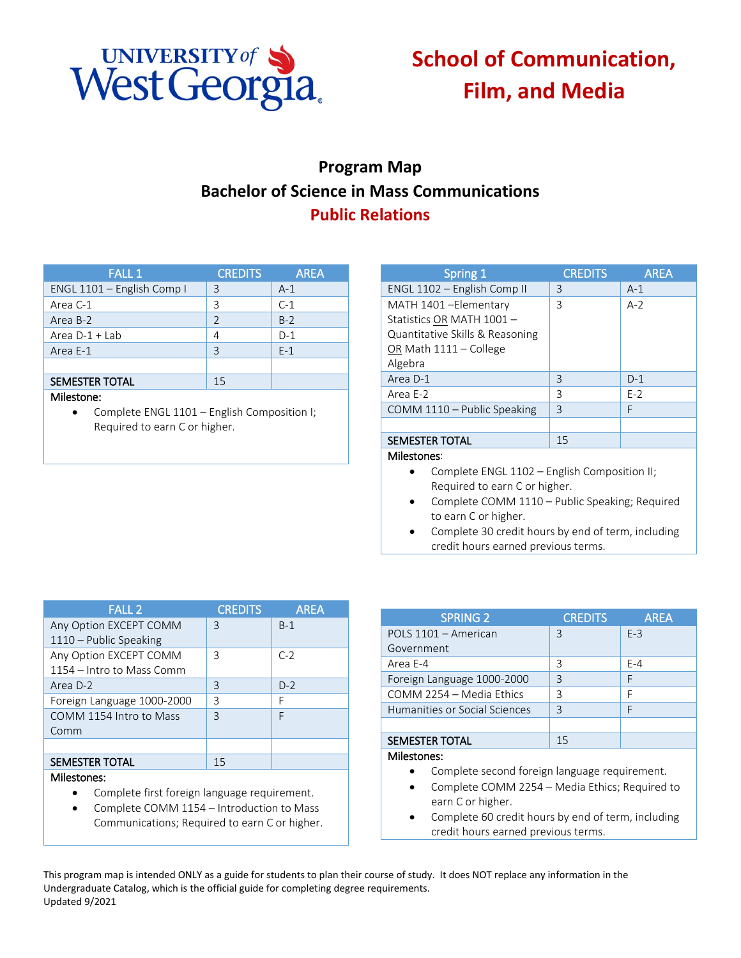

# **School of Communication, Film, and Media**

## **Program Map Bachelor of Science in Mass Communications Public Relations**

| <b>FALL 1</b>              | <b>CREDITS</b> | <b>AREA</b> |
|----------------------------|----------------|-------------|
| ENGL 1101 - English Comp I | 3              | $A-1$       |
| Area C-1                   | 3              | $C-1$       |
| Area B-2                   | $\overline{2}$ | $B-2$       |
| Area $D-1 + Lab$           | 4              | $D-1$       |
| Area E-1                   | 3              | $F-1$       |
|                            |                |             |
| <b>SEMESTER TOTAL</b>      | 15             |             |
| Milestone:                 |                |             |

• Complete ENGL 1101 – English Composition I; Required to earn C or higher.

| Spring 1                        | <b>CREDITS</b> | <b>AREA</b> |
|---------------------------------|----------------|-------------|
| ENGL 1102 - English Comp II     | 3              | $A-1$       |
| MATH 1401-Elementary            | 3              | $A-2$       |
| Statistics OR MATH 1001-        |                |             |
| Quantitative Skills & Reasoning |                |             |
| OR Math 1111 - College          |                |             |
| Algebra                         |                |             |
| Area D-1                        | 3              | $D-1$       |
| Area E-2                        | 3              | $E-2$       |
| COMM 1110 - Public Speaking     | 3              | F           |
|                                 |                |             |
| <b>SEMESTER TOTAL</b>           | 15             |             |
| <b>Milestones:</b>              |                |             |

- Complete ENGL 1102 English Composition II; Required to earn C or higher.
- Complete COMM 1110 Public Speaking; Required to earn C or higher.
- Complete 30 credit hours by end of term, including credit hours earned previous terms.

| <b>FALL 2</b>              | <b>CREDITS</b> | <b>AREA</b> |
|----------------------------|----------------|-------------|
| Any Option EXCEPT COMM     | 3              | $B-1$       |
| 1110 - Public Speaking     |                |             |
| Any Option EXCEPT COMM     | 3              | $C-2$       |
| 1154 – Intro to Mass Comm  |                |             |
| Area D-2                   | 3              | $D-2$       |
| Foreign Language 1000-2000 | 3              | F           |
| COMM 1154 Intro to Mass    | 3              | F           |
| Comm                       |                |             |
|                            |                |             |
| <b>SEMESTER TOTAL</b>      | 15             |             |
|                            |                |             |

#### Milestones:

- Complete first foreign language requirement.
- Complete COMM 1154 Introduction to Mass Communications; Required to earn C or higher.

| <b>SPRING 2</b>               | <b>CREDITS</b> | <b>AREA</b> |
|-------------------------------|----------------|-------------|
| POLS 1101 - American          | 3              | $F-3$       |
| Government                    |                |             |
| Area E-4                      | 3              | $F - 4$     |
| Foreign Language 1000-2000    | 3              | F           |
| COMM 2254 - Media Ethics      | 3              | F           |
| Humanities or Social Sciences | 3              | F           |
|                               |                |             |
| <b>SEMESTER TOTAL</b>         | 15             |             |
| Milestones:                   |                |             |

### Complete second foreign language requirement.

- Complete COMM 2254 Media Ethics; Required to earn C or higher.
- Complete 60 credit hours by end of term, including credit hours earned previous terms.

This program map is intended ONLY as a guide for students to plan their course of study. It does NOT replace any information in the Undergraduate Catalog, which is the official guide for completing degree requirements. Updated 9/2021